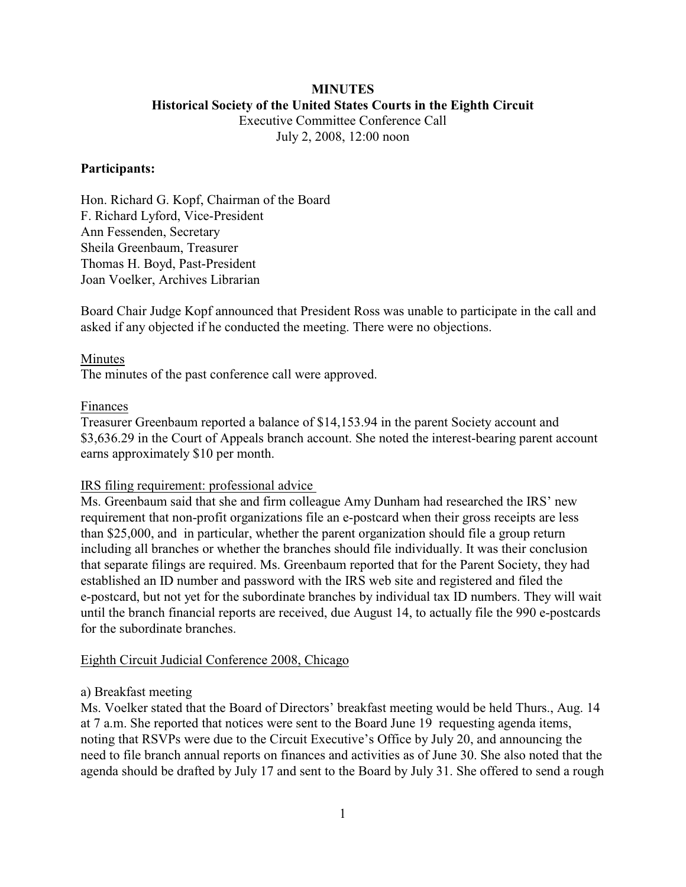### **MINUTES Historical Society of the United States Courts in the Eighth Circuit** Executive Committee Conference Call

July 2, 2008, 12:00 noon

## **Participants:**

Hon. Richard G. Kopf, Chairman of the Board F. Richard Lyford, Vice-President Ann Fessenden, Secretary Sheila Greenbaum, Treasurer Thomas H. Boyd, Past-President Joan Voelker, Archives Librarian

Board Chair Judge Kopf announced that President Ross was unable to participate in the call and asked if any objected if he conducted the meeting. There were no objections.

Minutes The minutes of the past conference call were approved.

## Finances

Treasurer Greenbaum reported a balance of \$14,153.94 in the parent Society account and \$3,636.29 in the Court of Appeals branch account. She noted the interest-bearing parent account earns approximately \$10 per month.

### IRS filing requirement: professional advice

Ms. Greenbaum said that she and firm colleague Amy Dunham had researched the IRS' new requirement that non-profit organizations file an e-postcard when their gross receipts are less than \$25,000, and in particular, whether the parent organization should file a group return including all branches or whether the branches should file individually. It was their conclusion that separate filings are required. Ms. Greenbaum reported that for the Parent Society, they had established an ID number and password with the IRS web site and registered and filed the e-postcard, but not yet for the subordinate branches by individual tax ID numbers. They will wait until the branch financial reports are received, due August 14, to actually file the 990 e-postcards for the subordinate branches.

### Eighth Circuit Judicial Conference 2008, Chicago

### a) Breakfast meeting

Ms. Voelker stated that the Board of Directors' breakfast meeting would be held Thurs., Aug. 14 at 7 a.m. She reported that notices were sent to the Board June 19 requesting agenda items, noting that RSVPs were due to the Circuit Executive's Office by July 20, and announcing the need to file branch annual reports on finances and activities as of June 30. She also noted that the agenda should be drafted by July 17 and sent to the Board by July 31. She offered to send a rough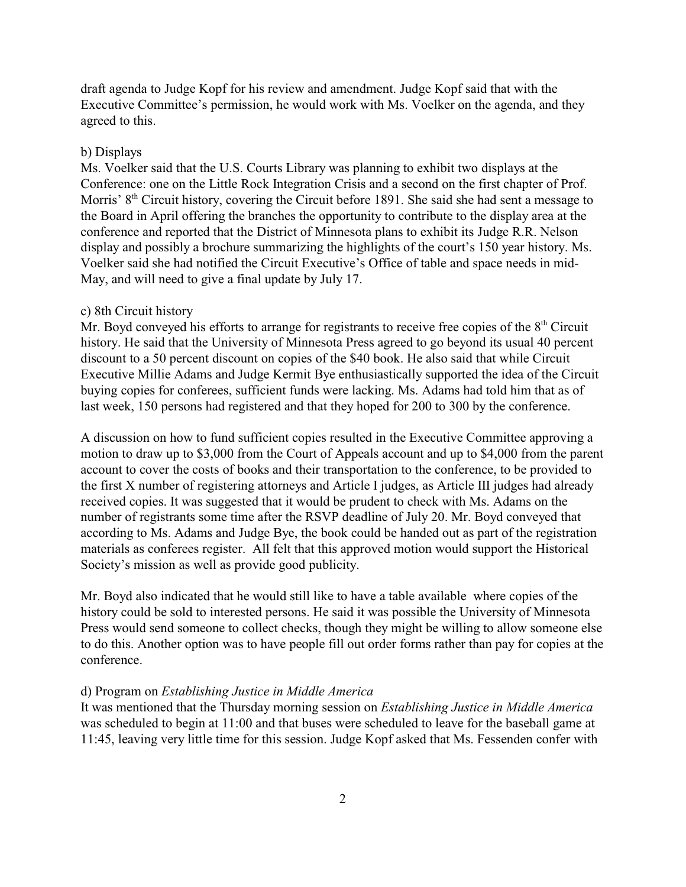draft agenda to Judge Kopf for his review and amendment. Judge Kopf said that with the Executive Committee's permission, he would work with Ms. Voelker on the agenda, and they agreed to this.

#### b) Displays

Ms. Voelker said that the U.S. Courts Library was planning to exhibit two displays at the Conference: one on the Little Rock Integration Crisis and a second on the first chapter of Prof. Morris'  $8<sup>th</sup>$  Circuit history, covering the Circuit before 1891. She said she had sent a message to the Board in April offering the branches the opportunity to contribute to the display area at the conference and reported that the District of Minnesota plans to exhibit its Judge R.R. Nelson display and possibly a brochure summarizing the highlights of the court's 150 year history. Ms. Voelker said she had notified the Circuit Executive's Office of table and space needs in mid-May, and will need to give a final update by July 17.

#### c) 8th Circuit history

Mr. Boyd conveyed his efforts to arrange for registrants to receive free copies of the  $8<sup>th</sup>$  Circuit history. He said that the University of Minnesota Press agreed to go beyond its usual 40 percent discount to a 50 percent discount on copies of the \$40 book. He also said that while Circuit Executive Millie Adams and Judge Kermit Bye enthusiastically supported the idea of the Circuit buying copies for conferees, sufficient funds were lacking. Ms. Adams had told him that as of last week, 150 persons had registered and that they hoped for 200 to 300 by the conference.

A discussion on how to fund sufficient copies resulted in the Executive Committee approving a motion to draw up to \$3,000 from the Court of Appeals account and up to \$4,000 from the parent account to cover the costs of books and their transportation to the conference, to be provided to the first X number of registering attorneys and Article I judges, as Article III judges had already received copies. It was suggested that it would be prudent to check with Ms. Adams on the number of registrants some time after the RSVP deadline of July 20. Mr. Boyd conveyed that according to Ms. Adams and Judge Bye, the book could be handed out as part of the registration materials as conferees register. All felt that this approved motion would support the Historical Society's mission as well as provide good publicity.

Mr. Boyd also indicated that he would still like to have a table available where copies of the history could be sold to interested persons. He said it was possible the University of Minnesota Press would send someone to collect checks, though they might be willing to allow someone else to do this. Another option was to have people fill out order forms rather than pay for copies at the conference.

#### d) Program on *Establishing Justice in Middle America*

It was mentioned that the Thursday morning session on *Establishing Justice in Middle America* was scheduled to begin at 11:00 and that buses were scheduled to leave for the baseball game at 11:45, leaving very little time for this session. Judge Kopf asked that Ms. Fessenden confer with